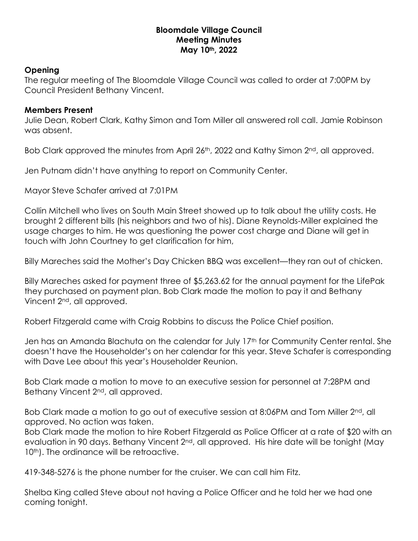## **Bloomdale Village Council Meeting Minutes May 10th, 2022**

## **Opening**

The regular meeting of The Bloomdale Village Council was called to order at 7:00PM by Council President Bethany Vincent.

## **Members Present**

Julie Dean, Robert Clark, Kathy Simon and Tom Miller all answered roll call. Jamie Robinson was absent.

Bob Clark approved the minutes from April 26<sup>th</sup>, 2022 and Kathy Simon 2<sup>nd</sup>, all approved.

Jen Putnam didn't have anything to report on Community Center.

Mayor Steve Schafer arrived at 7:01PM

Collin Mitchell who lives on South Main Street showed up to talk about the utility costs. He brought 2 different bills (his neighbors and two of his). Diane Reynolds-Miller explained the usage charges to him. He was questioning the power cost charge and Diane will get in touch with John Courtney to get clarification for him,

Billy Mareches said the Mother's Day Chicken BBQ was excellent—they ran out of chicken.

Billy Mareches asked for payment three of \$5,263.62 for the annual payment for the LifePak they purchased on payment plan. Bob Clark made the motion to pay it and Bethany Vincent 2nd, all approved.

Robert Fitzgerald came with Craig Robbins to discuss the Police Chief position.

Jen has an Amanda Blachuta on the calendar for July 17th for Community Center rental. She doesn't have the Householder's on her calendar for this year. Steve Schafer is corresponding with Dave Lee about this year's Householder Reunion.

Bob Clark made a motion to move to an executive session for personnel at 7:28PM and Bethany Vincent 2<sup>nd</sup>, all approved.

Bob Clark made a motion to go out of executive session at 8:06PM and Tom Miller 2<sup>nd</sup>, all approved. No action was taken.

Bob Clark made the motion to hire Robert Fitzgerald as Police Officer at a rate of \$20 with an evaluation in 90 days. Bethany Vincent 2<sup>nd</sup>, all approved. His hire date will be tonight (May 10<sup>th</sup>). The ordinance will be retroactive.

419-348-5276 is the phone number for the cruiser. We can call him Fitz.

Shelba King called Steve about not having a Police Officer and he told her we had one coming tonight.